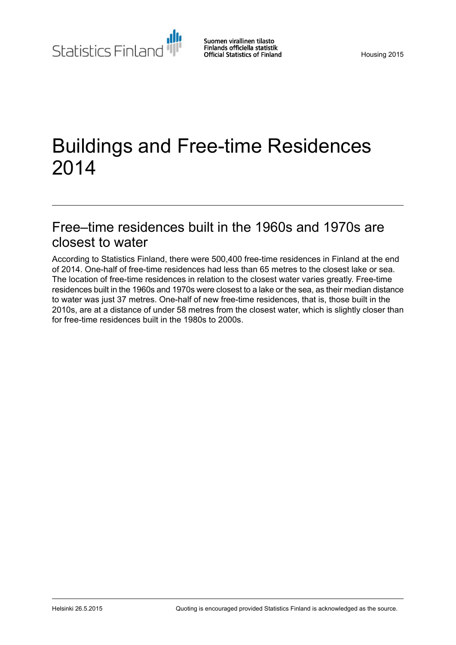Statistics Finland

# Buildings and Free-time Residences 2014

### Free–time residences built in the 1960s and 1970s are closest to water

According to Statistics Finland, there were 500,400 free-time residences in Finland at the end of 2014. One-half of free-time residences had less than 65 metres to the closest lake or sea. The location of free-time residences in relation to the closest water varies greatly. Free-time residences built in the 1960s and 1970s were closest to a lake or the sea, as their median distance to water was just 37 metres. One-half of new free-time residences, that is, those built in the 2010s, are at a distance of under 58 metres from the closest water, which is slightly closer than for free-time residences built in the 1980s to 2000s.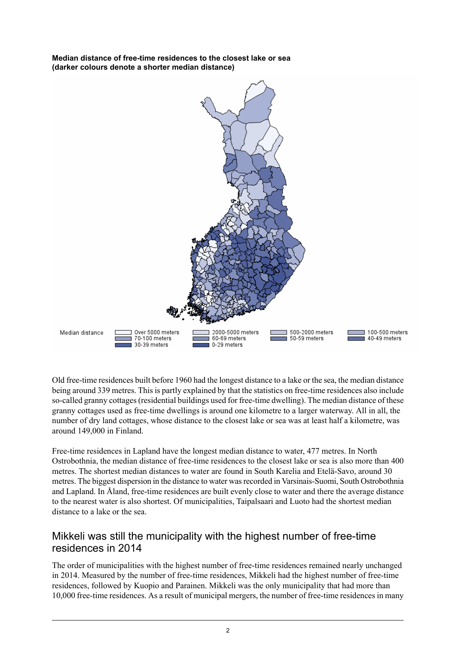**Median distance of free-time residences to the closest lake or sea (darker colours denote a shorter median distance)**



Old free-time residences built before 1960 had the longest distance to a lake or the sea, the median distance being around 339 metres. This is partly explained by that the statistics on free-time residences also include so-called granny cottages(residential buildings used for free-time dwelling). The median distance of these granny cottages used as free-time dwellings is around one kilometre to a larger waterway. All in all, the number of dry land cottages, whose distance to the closest lake or sea was at least half a kilometre, was around 149,000 in Finland.

Free-time residences in Lapland have the longest median distance to water, 477 metres. In North Ostrobothnia, the median distance of free-time residences to the closest lake or sea is also more than 400 metres. The shortest median distances to water are found in South Karelia and Etelä-Savo, around 30 metres. The biggest dispersion in the distance to water wasrecorded in Varsinais-Suomi, South Ostrobothnia and Lapland. In Åland, free-time residences are built evenly close to water and there the average distance to the nearest water is also shortest. Of municipalities, Taipalsaari and Luoto had the shortest median distance to a lake or the sea.

#### Mikkeli was still the municipality with the highest number of free-time residences in 2014

The order of municipalities with the highest number of free-time residences remained nearly unchanged in 2014. Measured by the number of free-time residences, Mikkeli had the highest number of free-time residences, followed by Kuopio and Parainen. Mikkeli was the only municipality that had more than 10,000 free-time residences. As a result of municipal mergers, the number of free-time residences in many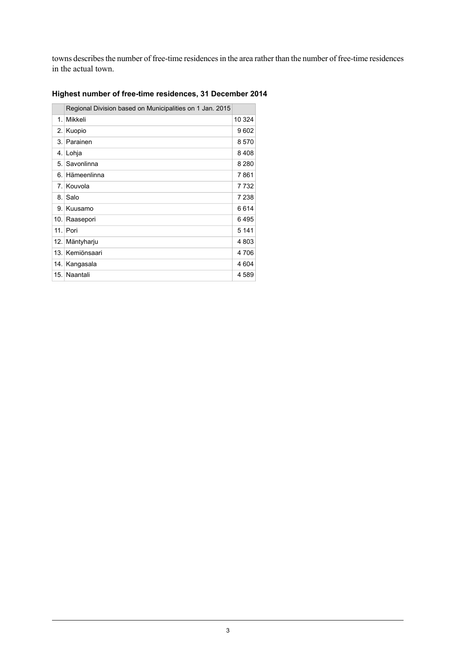towns describes the number of free-time residences in the area rather than the number of free-time residences in the actual town.

|         | Regional Division based on Municipalities on 1 Jan. 2015 |         |
|---------|----------------------------------------------------------|---------|
| $1_{-}$ | Mikkeli                                                  | 10 324  |
| 2.      | Kuopio                                                   | 9602    |
|         | 3. Parainen                                              | 8570    |
|         | 4. Lohja                                                 | 8408    |
| 5.      | Savonlinna                                               | 8 2 8 0 |
|         | 6. Hämeenlinna                                           | 7861    |
|         | 7. Kouvola                                               | 7732    |
| 8.1     | Salo                                                     | 7 2 3 8 |
|         | 9. Kuusamo                                               | 6614    |
|         | 10. Raasepori                                            | 6495    |
|         | $11$ . Pori                                              | 5 1 4 1 |
| 12.     | Mäntyharju                                               | 4803    |
| 13.1    | Kemiönsaari                                              | 4706    |
|         | 14. Kangasala                                            | 4 604   |
|         | 15. Naantali                                             | 4589    |

#### **Highest number of free-time residences, 31 December 2014**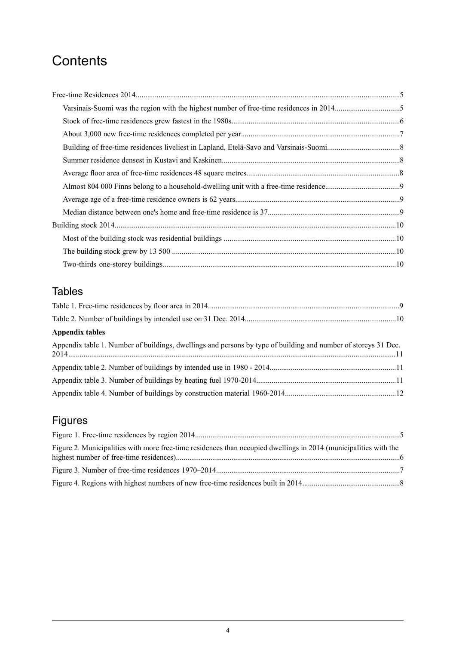### **Contents**

### Tables

| <b>Appendix tables</b>                                                                                         |  |
|----------------------------------------------------------------------------------------------------------------|--|
| Appendix table 1. Number of buildings, dwellings and persons by type of building and number of storeys 31 Dec. |  |
|                                                                                                                |  |
|                                                                                                                |  |
|                                                                                                                |  |

### Figures

| Figure 2. Municipalities with more free-time residences than occupied dwellings in 2014 (municipalities with the |  |
|------------------------------------------------------------------------------------------------------------------|--|
|                                                                                                                  |  |
|                                                                                                                  |  |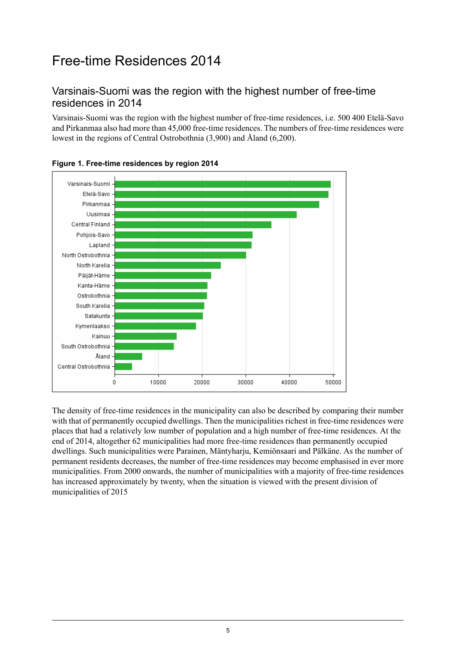## <span id="page-4-0"></span>Free-time Residences 2014

#### <span id="page-4-1"></span>Varsinais-Suomi was the region with the highest number of free-time residences in 2014

Varsinais-Suomi was the region with the highest number of free-time residences, i.e. 500 400 Etelä-Savo and Pirkanmaa also had more than 45,000 free-time residences. The numbers of free-time residences were lowest in the regions of Central Ostrobothnia (3,900) and Åland (6,200).



<span id="page-4-2"></span>

The density of free-time residences in the municipality can also be described by comparing their number with that of permanently occupied dwellings. Then the municipalities richest in free-time residences were places that had a relatively low number of population and a high number of free-time residences. At the end of 2014, altogether 62 municipalities had more free-time residences than permanently occupied dwellings. Such municipalities were Parainen, Mäntyharju, Kemiönsaari and Pälkäne. As the number of permanent residents decreases, the number of free-time residences may become emphasised in ever more municipalities. From 2000 onwards, the number of municipalities with a majority of free-time residences has increased approximately by twenty, when the situation is viewed with the present division of municipalities of 2015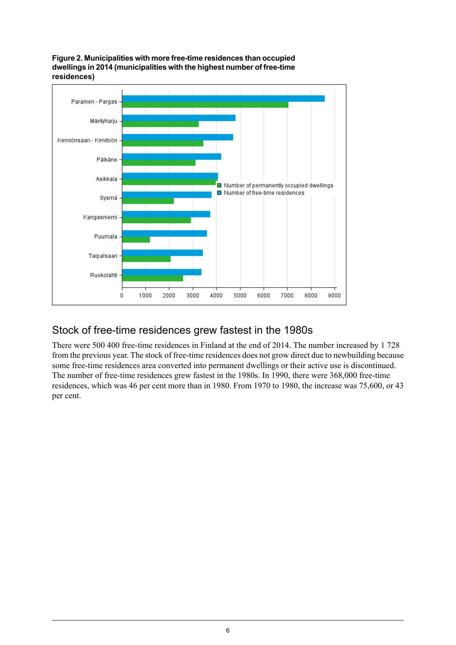<span id="page-5-1"></span>



#### <span id="page-5-0"></span>Stock of free-time residences grew fastest in the 1980s

There were 500 400 free-time residences in Finland at the end of 2014. The number increased by 1 728 from the previous year. The stock of free-time residences does not grow direct due to newbuilding because some free-time residences area converted into permanent dwellings or their active use is discontinued. The number of free-time residences grew fastest in the 1980s. In 1990, there were 368,000 free-time residences, which was 46 per cent more than in 1980. From 1970 to 1980, the increase was 75,600, or 43 per cent.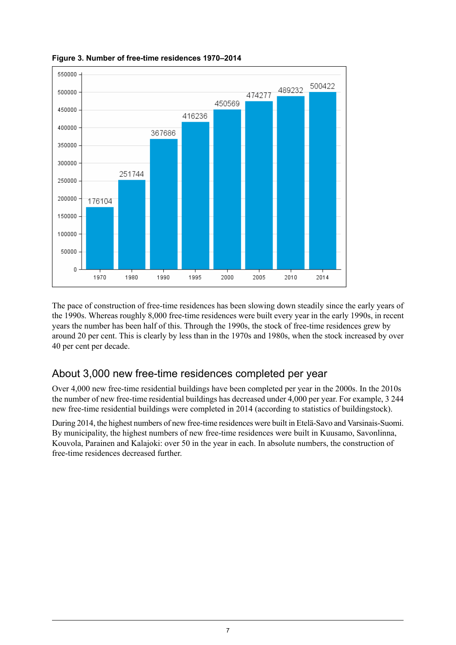

<span id="page-6-1"></span>**Figure 3. Number of free-time residences 1970–2014**

<span id="page-6-0"></span>The pace of construction of free-time residences has been slowing down steadily since the early years of the 1990s. Whereas roughly 8,000 free-time residences were built every year in the early 1990s, in recent years the number has been half of this. Through the 1990s, the stock of free-time residences grew by around 20 per cent. This is clearly by less than in the 1970s and 1980s, when the stock increased by over 40 per cent per decade.

#### About 3,000 new free-time residences completed per year

Over 4,000 new free-time residential buildings have been completed per year in the 2000s. In the 2010s the number of new free-time residential buildings has decreased under 4,000 per year. For example, 3 244 new free-time residential buildings were completed in 2014 (according to statistics of buildingstock).

During 2014, the highest numbers of new free-time residences were built in Etelä-Savo and Varsinais-Suomi. By municipality, the highest numbers of new free-time residences were built in Kuusamo, Savonlinna, Kouvola, Parainen and Kalajoki: over 50 in the year in each. In absolute numbers, the construction of free-time residences decreased further.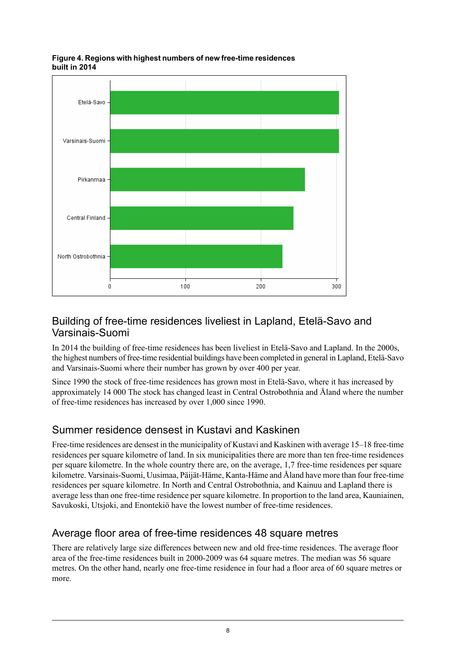<span id="page-7-3"></span>



#### <span id="page-7-0"></span>Building of free-time residences liveliest in Lapland, Etelä-Savo and Varsinais-Suomi

In 2014 the building of free-time residences has been liveliest in Etelä-Savo and Lapland. In the 2000s, the highest numbers of free-time residential buildings have been completed in general in Lapland, Etelä-Savo and Varsinais-Suomi where their number has grown by over 400 per year.

<span id="page-7-1"></span>Since 1990 the stock of free-time residences has grown most in Etelä-Savo, where it has increased by approximately 14 000 The stock has changed least in Central Ostrobothnia and Åland where the number of free-time residences has increased by over 1,000 since 1990.

#### Summer residence densest in Kustavi and Kaskinen

<span id="page-7-2"></span>Free-time residences are densest in the municipality of Kustavi and Kaskinen with average 15–18 free-time residences per square kilometre of land. In six municipalities there are more than ten free-time residences per square kilometre. In the whole country there are, on the average, 1,7 free-time residences per square kilometre. Varsinais-Suomi, Uusimaa, Päijät-Häme, Kanta-Häme and Åland have more than four free-time residences per square kilometre. In North and Central Ostrobothnia, and Kainuu and Lapland there is average less than one free-time residence per square kilometre. In proportion to the land area, Kauniainen, Savukoski, Utsjoki, and Enontekiö have the lowest number of free-time residences.

#### Average floor area of free-time residences 48 square metres

There are relatively large size differences between new and old free-time residences. The average floor area of the free-time residences built in 2000-2009 was 64 square metres. The median was 56 square metres. On the other hand, nearly one free-time residence in four had a floor area of 60 square metres or more.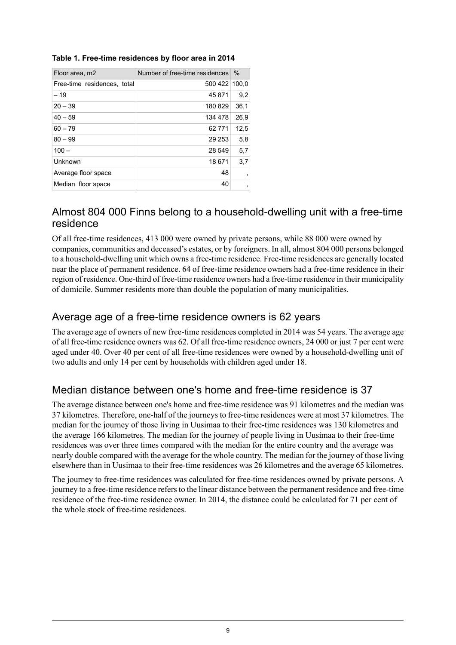| Floor area, m2              | Number of free-time residences | $\%$                     |
|-----------------------------|--------------------------------|--------------------------|
| Free-time residences, total | 500 422 100.0                  |                          |
| $-19$                       | 45 871                         | 9,2                      |
| $20 - 39$                   | 180829                         | 36,1                     |
| $40 - 59$                   | 134 478                        | 26.9                     |
| $60 - 79$                   | 62 771                         | 12,5                     |
| $80 - 99$                   | 29 253                         | 5,8                      |
| $100 -$                     | 28 549                         | 5,7                      |
| Unknown                     | 18 671                         | 3,7                      |
| Average floor space         | 48                             | $\overline{\phantom{a}}$ |
| Median floor space          | 40                             | $\overline{\phantom{a}}$ |

#### <span id="page-8-3"></span>**Table 1. Free-time residences by floor area in 2014**

#### <span id="page-8-0"></span>Almost 804 000 Finns belong to a household-dwelling unit with a free-time residence

Of all free-time residences, 413 000 were owned by private persons, while 88 000 were owned by companies, communities and deceased's estates, or by foreigners. In all, almost 804 000 persons belonged to a household-dwelling unit which owns a free-time residence. Free-time residences are generally located near the place of permanent residence. 64 of free-time residence owners had a free-time residence in their region of residence. One-third of free-time residence owners had a free-time residence in their municipality of domicile. Summer residents more than double the population of many municipalities.

#### <span id="page-8-1"></span>Average age of a free-time residence owners is 62 years

<span id="page-8-2"></span>The average age of owners of new free-time residences completed in 2014 was 54 years. The average age of all free-time residence owners was 62. Of all free-time residence owners, 24 000 or just 7 per cent were aged under 40. Over 40 per cent of all free-time residences were owned by a household-dwelling unit of two adults and only 14 per cent by households with children aged under 18.

#### Median distance between one's home and free-time residence is 37

The average distance between one's home and free-time residence was 91 kilometres and the median was 37 kilometres. Therefore, one-half of the journeys to free-time residences were at most 37 kilometres. The median for the journey of those living in Uusimaa to their free-time residences was 130 kilometres and the average 166 kilometres. The median for the journey of people living in Uusimaa to their free-time residences was over three times compared with the median for the entire country and the average was nearly double compared with the average for the whole country. The median for the journey of those living elsewhere than in Uusimaa to their free-time residences was 26 kilometres and the average 65 kilometres.

The journey to free-time residences was calculated for free-time residences owned by private persons. A journey to a free-time residence refers to the linear distance between the permanent residence and free-time residence of the free-time residence owner. In 2014, the distance could be calculated for 71 per cent of the whole stock of free-time residences.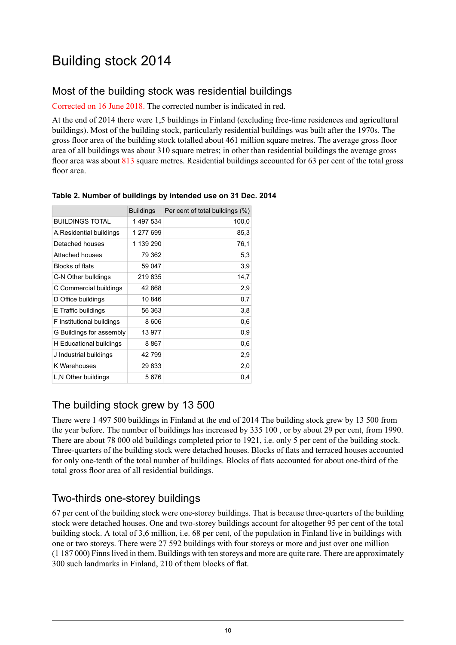# <span id="page-9-0"></span>Building stock 2014

#### <span id="page-9-1"></span>Most of the building stock was residential buildings

#### Corrected on 16 June 2018. The corrected number is indicated in red.

At the end of 2014 there were 1,5 buildings in Finland (excluding free-time residences and agricultural buildings). Most of the building stock, particularly residential buildings was built after the 1970s. The gross floor area of the building stock totalled about 461 million square metres. The average gross floor area of all buildings was about 310 square metres; in other than residential buildings the average gross floor area was about 813 square metres. Residential buildings accounted for 63 per cent of the total gross floor area.

|                           | <b>Buildings</b> | Per cent of total buildings (%) |
|---------------------------|------------------|---------------------------------|
| <b>BUILDINGS TOTAL</b>    | 1497534          | 100,0                           |
| A Residential buildings   | 1 277 699        | 85,3                            |
| Detached houses           | 1 139 290        | 76,1                            |
| Attached houses           | 79 362           | 5,3                             |
| Blocks of flats           | 59 047           | 3,9                             |
| C-N Other bulldings       | 219835           | 14,7                            |
| C Commercial buildings    | 42 868           | 2,9                             |
| D Office buildings        | 10846            | 0,7                             |
| E Traffic buildings       | 56 363           | 3,8                             |
| F Institutional buildings | 8 6 0 6          | 0,6                             |
| G Buildings for assembly  | 13 977           | 0,9                             |
| H Educational buildings   | 8867             | 0,6                             |
| J Industrial buildings    | 42 799           | 2,9                             |
| K Warehouses              | 29 833           | 2,0                             |
| L,N Other buildings       | 5676             | 0,4                             |

#### <span id="page-9-4"></span>**Table 2. Number of buildings by intended use on 31 Dec. 2014**

#### <span id="page-9-2"></span>The building stock grew by 13 500

<span id="page-9-3"></span>There were 1 497 500 buildings in Finland at the end of 2014 The building stock grew by 13 500 from the year before. The number of buildings has increased by 335 100 , or by about 29 per cent, from 1990. There are about 78 000 old buildings completed prior to 1921, i.e. only 5 per cent of the building stock. Three-quarters of the building stock were detached houses. Blocks of flats and terraced houses accounted for only one-tenth of the total number of buildings. Blocks of flats accounted for about one-third of the total gross floor area of all residential buildings.

#### Two-thirds one-storey buildings

67 per cent of the building stock were one-storey buildings. That is because three-quarters of the building stock were detached houses. One and two-storey buildings account for altogether 95 per cent of the total building stock. A total of 3,6 million, i.e. 68 per cent, of the population in Finland live in buildings with one or two storeys. There were 27 592 buildings with four storeys or more and just over one million (1 187 000) Finnslived in them. Buildings with ten storeys and more are quite rare. There are approximately 300 such landmarks in Finland, 210 of them blocks of flat.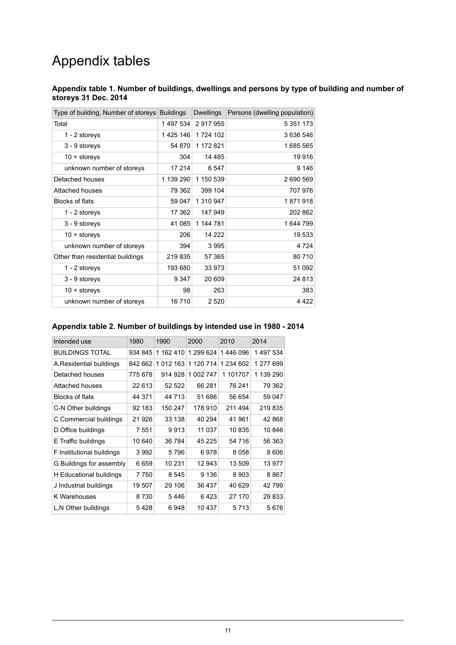# Appendix tables

#### <span id="page-10-0"></span>**Appendix table 1. Number of buildings, dwellings and persons by type of building and number of storeys 31 Dec. 2014**

| Type of building, Number of storeys | <b>Buildings</b> | <b>Dwellings</b> | Persons (dwelling population) |
|-------------------------------------|------------------|------------------|-------------------------------|
| Total                               | 1497534          | 2 917 955        | 5 351 173                     |
| 1 - 2 storeys                       | 1425 146         | 1724 102         | 3 636 546                     |
| 3 - 9 storeys                       | 54 870           | 1 172 821        | 1685 565                      |
| $10 +$ storeys                      | 304              | 14 4 8 5         | 19916                         |
| unknown number of storeys           | 17 214           | 6 5 4 7          | 9 1 4 6                       |
| Detached houses                     | 1 139 290        | 1 150 539        | 2 690 569                     |
| Attached houses                     | 79 362           | 399 104          | 707 976                       |
| <b>Blocks of flats</b>              | 59 047           | 1 310 947        | 1871918                       |
| 1 - 2 storeys                       | 17 362           | 147 949          | 202 862                       |
| 3 - 9 storeys                       | 41 085           | 1 144 781        | 1644799                       |
| $10 +$ storeys                      | 206              | 14 222           | 19 533                        |
| unknown number of storeys           | 394              | 3995             | 4 7 2 4                       |
| Other than residential buildings    | 219835           | 57 365           | 80 710                        |
| 1 - 2 storeys                       | 193 680          | 33 973           | 51 092                        |
| 3 - 9 storeys                       | 9 3 4 7          | 20 609           | 24 813                        |
| $10 +$ storeys                      | 98               | 263              | 383                           |
| unknown number of storeys           | 16710            | 2 5 2 0          | 4 4 2 2                       |

#### <span id="page-10-1"></span>**Appendix table 2. Number of buildings by intended use in 1980 - 2014**

<span id="page-10-2"></span>

| Intended use              | 1980    | 1990      | 2000      | 2010      | 2014      |
|---------------------------|---------|-----------|-----------|-----------|-----------|
| <b>BUILDINGS TOTAL</b>    | 934 845 | 1 162 410 | 1 299 624 | 1446 096  | 1497534   |
| A.Residential buildings   | 842 662 | 1 012 163 | 1 120 714 | 1 234 602 | 1 277 699 |
| Detached houses           | 775 678 | 914 928   | 1 002 747 | 1 101707  | 1 139 290 |
| Attached houses           | 22 613  | 52 522    | 66 281    | 76 241    | 79 362    |
| <b>Blocks of flats</b>    | 44 371  | 44 713    | 51 686    | 56 654    | 59 047    |
| C-N Other bulldings       | 92 183  | 150 247   | 178 910   | 211 494   | 219835    |
| C Commercial buildings    | 21 926  | 33 138    | 40 294    | 41 961    | 42 868    |
| D Office buildings        | 7 551   | 9913      | 11 037    | 10835     | 10846     |
| E Traffic buildings       | 10 640  | 36 784    | 45 225    | 54 716    | 56 363    |
| F Institutional buildings | 3992    | 5796      | 6978      | 8058      | 8606      |
| G Buildings for assembly  | 6659    | 10 231    | 12 943    | 13 509    | 13 977    |
| H Educational buildings   | 7750    | 8 545     | 9 1 3 6   | 8903      | 8867      |
| J Industrial buildings    | 19 507  | 29 106    | 36 437    | 40 629    | 42799     |
| K Warehouses              | 8730    | 5446      | 6423      | 27 170    | 29 833    |
| L,N Other bulldings       | 5428    | 6948      | 10 437    | 5713      | 5676      |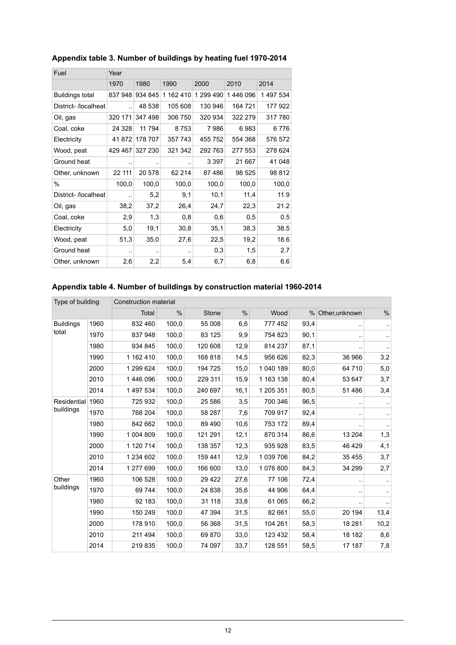| Fuel                   | Year                 |         |           |           |          |           |
|------------------------|----------------------|---------|-----------|-----------|----------|-----------|
|                        | 1970                 | 1980    | 1990      | 2000      | 2010     | 2014      |
| <b>Buildings total</b> | 837948               | 934 845 | 1 162 410 | 1 299 490 | 1446 096 | 1 497 534 |
| District-/localheat    | $\ddot{\phantom{a}}$ | 48 538  | 105 608   | 130 946   | 164 721  | 177 922   |
| Oil, gas               | 320 171              | 347 498 | 306 750   | 320 934   | 322 279  | 317780    |
| Coal, coke             | 24 3 28              | 11 794  | 8753      | 7986      | 6983     | 6776      |
| Electricity            | 41872                | 178 707 | 357 743   | 455 752   | 554 368  | 576 572   |
| Wood, peat             | 429 467              | 327 230 | 321 342   | 292 763   | 277 553  | 278 624   |
| Ground heat            |                      |         |           | 3 3 9 7   | 21 667   | 41 048    |
| Other, unknown         | 22 111               | 20 578  | 62 214    | 87486     | 98 525   | 98 812    |
| $\%$                   | 100,0                | 100,0   | 100,0     | 100,0     | 100,0    | 100,0     |
| District- /localheat   | $\ddot{\phantom{a}}$ | 5,2     | 9,1       | 10,1      | 11,4     | 11.9      |
| Oil, gas               | 38,2                 | 37,2    | 26,4      | 24,7      | 22,3     | 21.2      |
| Coal, coke             | 2,9                  | 1,3     | 0,8       | 0,6       | 0,5      | 0.5       |
| Electricity            | 5,0                  | 19,1    | 30,8      | 35,1      | 38,3     | 38.5      |
| Wood, peat             | 51,3                 | 35,0    | 27,6      | 22,5      | 19,2     | 18.6      |
| Ground heat            |                      | ٠.      | ٠.        | 0,3       | 1,5      | 2.7       |
| Other, unknown         | 2,6                  | 2,2     | 5,4       | 6,7       | 6,8      | 6.6       |
|                        |                      |         |           |           |          |           |

#### **Appendix table 3. Number of buildings by heating fuel 1970-2014**

#### <span id="page-11-0"></span>**Appendix table 4. Number of buildings by construction material 1960-2014**

| Type of building |      | Construction material |       |         |               |           |      |                |           |
|------------------|------|-----------------------|-------|---------|---------------|-----------|------|----------------|-----------|
|                  |      | Total                 | $\%$  | Stone   | $\frac{0}{0}$ | Wood      | $\%$ | Other, unknown | $\%$      |
| <b>Buildings</b> | 1960 | 832 460               | 100,0 | 55 008  | 6,6           | 777 452   | 93,4 |                | $\cdot$   |
| total            | 1970 | 837 948               | 100,0 | 83 125  | 9,9           | 754 823   | 90,1 |                | $\cdot$ . |
|                  | 1980 | 934 845               | 100,0 | 120 608 | 12,9          | 814 237   | 87,1 |                | $\cdot$ . |
|                  | 1990 | 1 162 410             | 100,0 | 168 818 | 14,5          | 956 626   | 82,3 | 36 966         | 3,2       |
|                  | 2000 | 1 299 624             | 100,0 | 194 725 | 15,0          | 1 040 189 | 80,0 | 64 710         | 5,0       |
|                  | 2010 | 1446 096              | 100,0 | 229 311 | 15,9          | 1 163 138 | 80,4 | 53 647         | 3,7       |
|                  | 2014 | 1 497 534             | 100,0 | 240 697 | 16,1          | 1 205 351 | 80,5 | 51 486         | 3,4       |
| Residential      | 1960 | 725 932               | 100,0 | 25 586  | 3,5           | 700 346   | 96,5 | $\ddotsc$      | $\ddotsc$ |
| buildings        | 1970 | 768 204               | 100,0 | 58 287  | 7,6           | 709 917   | 92,4 |                | $\cdot$ . |
|                  | 1980 | 842 662               | 100,0 | 89 490  | 10,6          | 753 172   | 89,4 |                |           |
|                  | 1990 | 1 004 809             | 100.0 | 121 291 | 12,1          | 870 314   | 86,6 | 13 204         | 1,3       |
|                  | 2000 | 1 120 714             | 100,0 | 138 357 | 12,3          | 935 928   | 83,5 | 46 4 29        | 4,1       |
|                  | 2010 | 1 234 602             | 100,0 | 159 441 | 12,9          | 1 039 706 | 84,2 | 35 455         | 3,7       |
|                  | 2014 | 1 277 699             | 100,0 | 166 600 | 13,0          | 1 076 800 | 84,3 | 34 299         | 2,7       |
| Other            | 1960 | 106 528               | 100,0 | 29 4 22 | 27,6          | 77 106    | 72,4 |                |           |
| buildings        | 1970 | 69 744                | 100,0 | 24 838  | 35,6          | 44 906    | 64,4 |                | $\cdot$ . |
|                  | 1980 | 92 183                | 100,0 | 31 118  | 33,8          | 61 065    | 66,2 |                |           |
|                  | 1990 | 150 249               | 100,0 | 47 394  | 31,5          | 82 661    | 55,0 | 20 194         | 13,4      |
|                  | 2000 | 178 910               | 100,0 | 56 368  | 31,5          | 104 261   | 58,3 | 18 28 1        | 10,2      |
|                  | 2010 | 211 494               | 100,0 | 69870   | 33,0          | 123 432   | 58,4 | 18 182         | 8,6       |
|                  | 2014 | 219 835               | 100,0 | 74 097  | 33,7          | 128 551   | 58,5 | 17 187         | 7,8       |